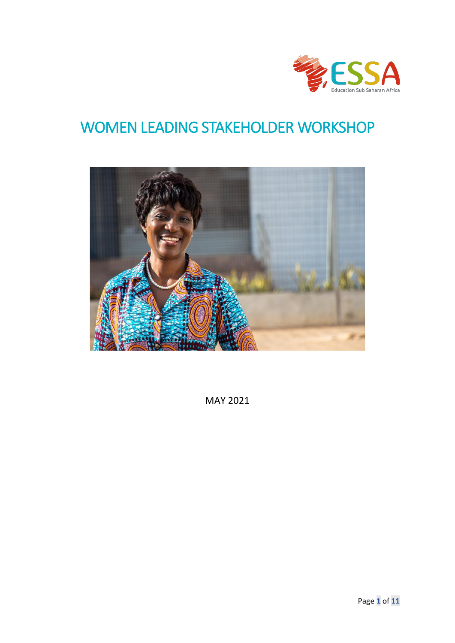

# WOMEN LEADING STAKEHOLDER WORKSHOP



MAY 2021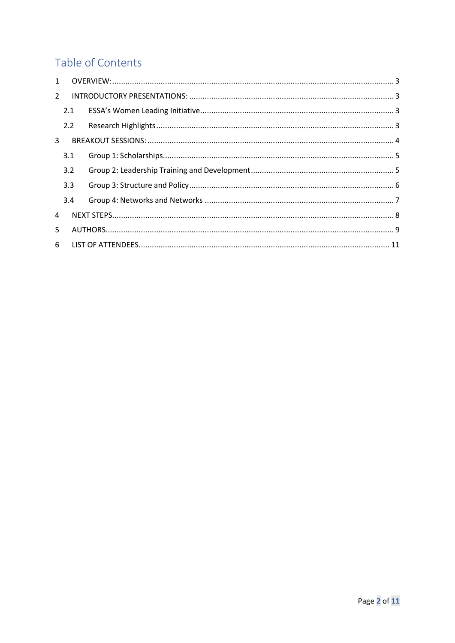# Table of Contents

| $\mathbf{1}$  |     |  |  |  |  |  |
|---------------|-----|--|--|--|--|--|
| $\mathcal{L}$ |     |  |  |  |  |  |
|               | 2.1 |  |  |  |  |  |
|               | 2.2 |  |  |  |  |  |
| 3             |     |  |  |  |  |  |
|               | 3.1 |  |  |  |  |  |
|               | 3.2 |  |  |  |  |  |
|               | 3.3 |  |  |  |  |  |
|               | 3.4 |  |  |  |  |  |
| 4             |     |  |  |  |  |  |
| 5.            |     |  |  |  |  |  |
|               |     |  |  |  |  |  |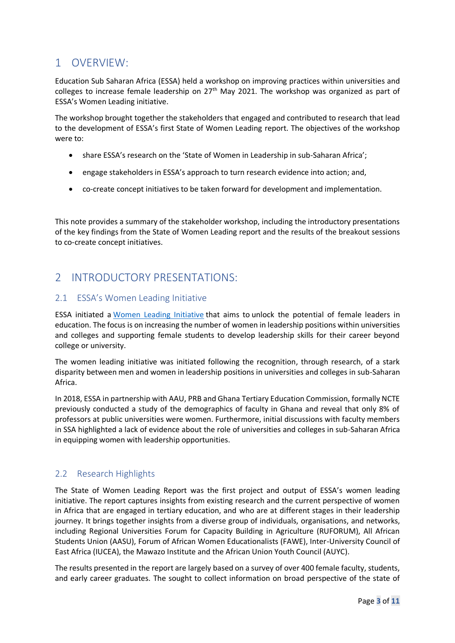## <span id="page-2-0"></span>1 OVERVIEW:

Education Sub Saharan Africa (ESSA) held a workshop on improving practices within universities and colleges to increase female leadership on 27<sup>th</sup> May 2021. The workshop was organized as part of ESSA's Women Leading initiative.

The workshop brought together the stakeholders that engaged and contributed to research that lead to the development of ESSA's first State of Women Leading report. The objectives of the workshop were to:

- share ESSA's research on the 'State of Women in Leadership in sub-Saharan Africa';
- engage stakeholders in ESSA's approach to turn research evidence into action; and,
- co-create concept initiatives to be taken forward for development and implementation.

This note provides a summary of the stakeholder workshop, including the introductory presentations of the key findings from the State of Women Leading report and the results of the breakout sessions to co-create concept initiatives.

# <span id="page-2-1"></span>2 INTRODUCTORY PRESENTATIONS:

### <span id="page-2-2"></span>2.1 ESSA's Women Leading Initiative

ESSA initiated a [Women Leading Initiative](https://essa-africa.org/node/976) that aims to unlock the potential of female leaders in education. The focus is on increasing the number of women in leadership positions within universities and colleges and supporting female students to develop leadership skills for their career beyond college or university.

The women leading initiative was initiated following the recognition, through research, of a stark disparity between men and women in leadership positions in universities and colleges in sub-Saharan Africa.

In 2018, ESSA in partnership with AAU, PRB and Ghana Tertiary Education Commission, formally NCTE previously conducted a study of the demographics of faculty in Ghana and reveal that only 8% of professors at public universities were women. Furthermore, initial discussions with faculty members in SSA highlighted a lack of evidence about the role of universities and colleges in sub-Saharan Africa in equipping women with leadership opportunities.

### <span id="page-2-3"></span>2.2 Research Highlights

The State of Women Leading Report was the first project and output of ESSA's women leading initiative. The report captures insights from existing research and the current perspective of women in Africa that are engaged in tertiary education, and who are at different stages in their leadership journey. It brings together insights from a diverse group of individuals, organisations, and networks, including Regional Universities Forum for Capacity Building in Agriculture (RUFORUM), All African Students Union (AASU), Forum of African Women Educationalists (FAWE), Inter-University Council of East Africa (IUCEA), the Mawazo Institute and the African Union Youth Council (AUYC).

The results presented in the report are largely based on a survey of over 400 female faculty, students, and early career graduates. The sought to collect information on broad perspective of the state of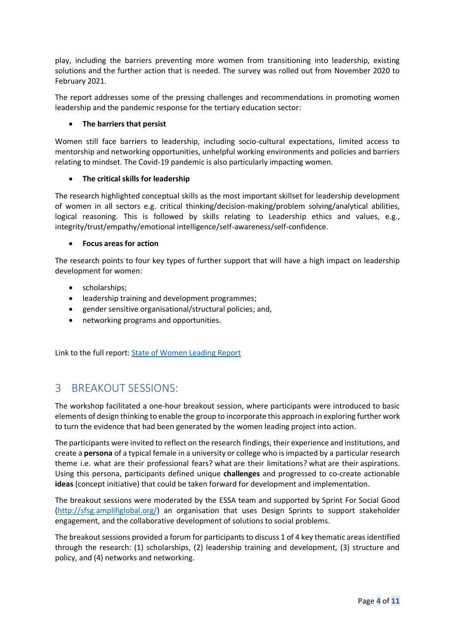play, including the barriers preventing more women from transitioning into leadership, existing solutions and the further action that is needed. The survey was rolled out from November 2020 to February 2021.

The report addresses some of the pressing challenges and recommendations in promoting women leadership and the pandemic response for the tertiary education sector:

#### • **The barriers that persist**

Women still face barriers to leadership, including socio-cultural expectations, limited access to mentorship and networking opportunities, unhelpful working environments and policies and barriers relating to mindset. The Covid-19 pandemic is also particularly impacting women.

#### • **The critical skills for leadership**

The research highlighted conceptual skills as the most important skillset for leadership development of women in all sectors e.g. critical thinking/decision-making/problem solving/analytical abilities, logical reasoning. This is followed by skills relating to Leadership ethics and values, e.g., integrity/trust/empathy/emotional intelligence/self-awareness/self-confidence.

#### • **Focus areas for action**

The research points to four key types of further support that will have a high impact on leadership development for women:

- scholarships;
- leadership training and development programmes;
- gender sensitive organisational/structural policies; and,
- networking programs and opportunities.

Link to the full report: [State of Women Leading Report](https://essa-africa.org/sites/default/files/inline-files/The%20State%20of%20Women%20Leading%20Report%202021_0.pdf)

## <span id="page-3-0"></span>3 BREAKOUT SESSIONS:

The workshop facilitated a one-hour breakout session, where participants were introduced to basic elements of design thinking to enable the group to incorporate this approach in exploring further work to turn the evidence that had been generated by the women leading project into action.

The participants were invited to reflect on the research findings, their experience and institutions, and create a **persona** of a typical female in a university or college who is impacted by a particular research theme i.e. what are their professional fears? what are their limitations? what are their aspirations. Using this persona, participants defined unique **challenges** and progressed to co-create actionable **ideas** (concept initiative) that could be taken forward for development and implementation.

The breakout sessions were moderated by the ESSA team and supported by Sprint For Social Good [\(http://sfsg.amplifiglobal.org/\)](http://sfsg.amplifiglobal.org/) an organisation that uses Design Sprints to support stakeholder engagement, and the collaborative development of solutions to social problems.

The breakout sessions provided a forum for participants to discuss 1 of 4 key thematic areas identified through the research: (1) scholarships, (2) leadership training and development, (3) structure and policy, and (4) networks and networking.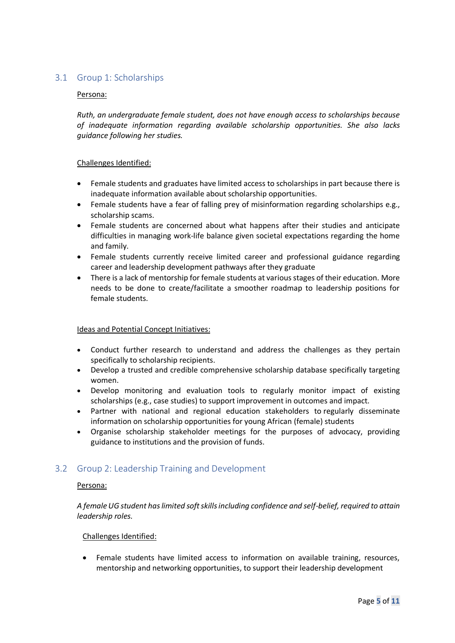### <span id="page-4-0"></span>3.1 Group 1: Scholarships

#### Persona:

*Ruth, an undergraduate female student, does not have enough access to scholarships because of inadequate information regarding available scholarship opportunities. She also lacks guidance following her studies.*

#### Challenges Identified:

- Female students and graduates have limited access to scholarships in part because there is inadequate information available about scholarship opportunities.
- Female students have a fear of falling prey of misinformation regarding scholarships e.g., scholarship scams.
- Female students are concerned about what happens after their studies and anticipate difficulties in managing work-life balance given societal expectations regarding the home and family.
- Female students currently receive limited career and professional guidance regarding career and leadership development pathways after they graduate
- There is a lack of mentorship for female students at various stages of their education. More needs to be done to create/facilitate a smoother roadmap to leadership positions for female students.

#### Ideas and Potential Concept Initiatives:

- Conduct further research to understand and address the challenges as they pertain specifically to scholarship recipients.
- Develop a trusted and credible comprehensive scholarship database specifically targeting women.
- Develop monitoring and evaluation tools to regularly monitor impact of existing scholarships (e.g., case studies) to support improvement in outcomes and impact.
- Partner with national and regional education stakeholders to regularly disseminate information on scholarship opportunities for young African (female) students
- Organise scholarship stakeholder meetings for the purposes of advocacy, providing guidance to institutions and the provision of funds.

#### <span id="page-4-1"></span>3.2 Group 2: Leadership Training and Development

#### Persona:

*A female UG student has limited soft skills including confidence and self-belief, required to attain leadership roles.* 

#### Challenges Identified:

• Female students have limited access to information on available training, resources, mentorship and networking opportunities, to support their leadership development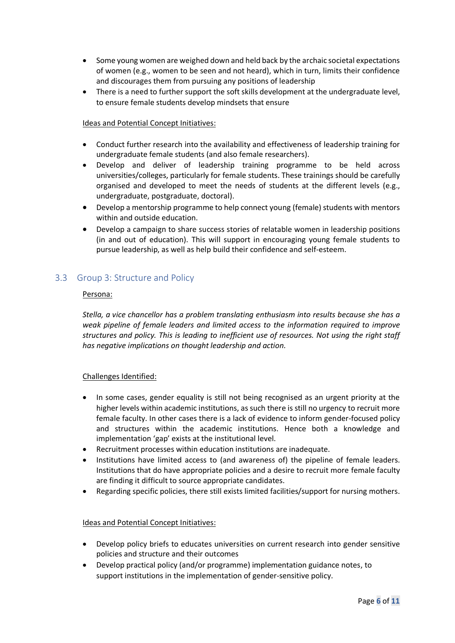- Some young women are weighed down and held back by the archaic societal expectations of women (e.g., women to be seen and not heard), which in turn, limits their confidence and discourages them from pursuing any positions of leadership
- There is a need to further support the soft skills development at the undergraduate level, to ensure female students develop mindsets that ensure

#### Ideas and Potential Concept Initiatives:

- Conduct further research into the availability and effectiveness of leadership training for undergraduate female students (and also female researchers).
- Develop and deliver of leadership training programme to be held across universities/colleges, particularly for female students. These trainings should be carefully organised and developed to meet the needs of students at the different levels (e.g., undergraduate, postgraduate, doctoral).
- Develop a mentorship programme to help connect young (female) students with mentors within and outside education.
- Develop a campaign to share success stories of relatable women in leadership positions (in and out of education). This will support in encouraging young female students to pursue leadership, as well as help build their confidence and self-esteem.

### <span id="page-5-0"></span>3.3 Group 3: Structure and Policy

#### Persona:

*Stella, a vice chancellor has a problem translating enthusiasm into results because she has a weak pipeline of female leaders and limited access to the information required to improve structures and policy. This is leading to inefficient use of resources. Not using the right staff has negative implications on thought leadership and action.*

#### Challenges Identified:

- In some cases, gender equality is still not being recognised as an urgent priority at the higher levels within academic institutions, as such there is still no urgency to recruit more female faculty. In other cases there is a lack of evidence to inform gender-focused policy and structures within the academic institutions. Hence both a knowledge and implementation 'gap' exists at the institutional level.
- Recruitment processes within education institutions are inadequate.
- Institutions have limited access to (and awareness of) the pipeline of female leaders. Institutions that do have appropriate policies and a desire to recruit more female faculty are finding it difficult to source appropriate candidates.
- Regarding specific policies, there still exists limited facilities/support for nursing mothers.

#### Ideas and Potential Concept Initiatives:

- Develop policy briefs to educates universities on current research into gender sensitive policies and structure and their outcomes
- Develop practical policy (and/or programme) implementation guidance notes, to support institutions in the implementation of gender-sensitive policy.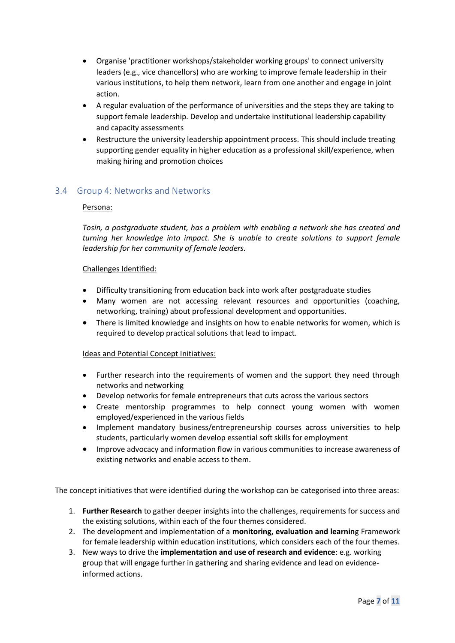- Organise 'practitioner workshops/stakeholder working groups' to connect university leaders (e.g., vice chancellors) who are working to improve female leadership in their various institutions, to help them network, learn from one another and engage in joint action.
- A regular evaluation of the performance of universities and the steps they are taking to support female leadership. Develop and undertake institutional leadership capability and capacity assessments
- Restructure the university leadership appointment process. This should include treating supporting gender equality in higher education as a professional skill/experience, when making hiring and promotion choices

### <span id="page-6-0"></span>3.4 Group 4: Networks and Networks

#### Persona:

*Tosin, a postgraduate student, has a problem with enabling a network she has created and turning her knowledge into impact. She is unable to create solutions to support female leadership for her community of female leaders.*

#### Challenges Identified:

- Difficulty transitioning from education back into work after postgraduate studies
- Many women are not accessing relevant resources and opportunities (coaching, networking, training) about professional development and opportunities.
- There is limited knowledge and insights on how to enable networks for women, which is required to develop practical solutions that lead to impact.

#### Ideas and Potential Concept Initiatives:

- Further research into the requirements of women and the support they need through networks and networking
- Develop networks for female entrepreneurs that cuts across the various sectors
- Create mentorship programmes to help connect young women with women employed/experienced in the various fields
- Implement mandatory business/entrepreneurship courses across universities to help students, particularly women develop essential soft skills for employment
- Improve advocacy and information flow in various communities to increase awareness of existing networks and enable access to them.

The concept initiatives that were identified during the workshop can be categorised into three areas:

- 1. **Further Research** to gather deeper insights into the challenges, requirements for success and the existing solutions, within each of the four themes considered.
- 2. The development and implementation of a **monitoring, evaluation and learnin**g Framework for female leadership within education institutions, which considers each of the four themes.
- 3. New ways to drive the **implementation and use of research and evidence**: e.g. working group that will engage further in gathering and sharing evidence and lead on evidenceinformed actions.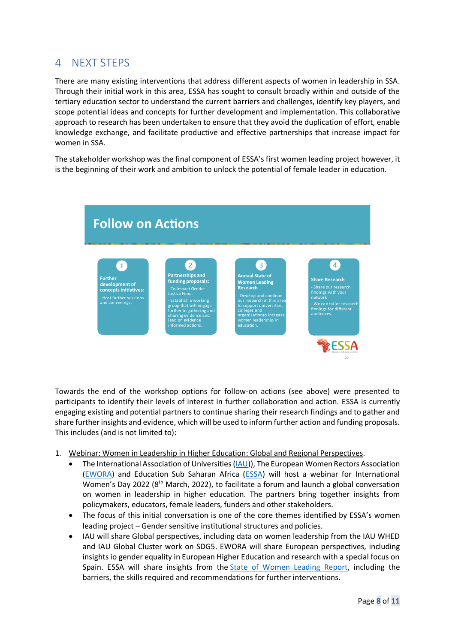### <span id="page-7-0"></span>4 NEXT STEPS

There are many existing interventions that address different aspects of women in leadership in SSA. Through their initial work in this area, ESSA has sought to consult broadly within and outside of the tertiary education sector to understand the current barriers and challenges, identify key players, and scope potential ideas and concepts for further development and implementation. This collaborative approach to research has been undertaken to ensure that they avoid the duplication of effort, enable knowledge exchange, and facilitate productive and effective partnerships that increase impact for women in SSA.

The stakeholder workshop was the final component of ESSA's first women leading project however, it is the beginning of their work and ambition to unlock the potential of female leader in education.



Towards the end of the workshop options for follow-on actions (see above) were presented to participants to identify their levels of interest in further collaboration and action. ESSA is currently engaging existing and potential partners to continue sharing their research findings and to gather and share further insights and evidence, which will be used to inform further action and funding proposals. This includes (and is not limited to):

- 1. Webinar: Women in Leadership in Higher Education: Global and Regional Perspectives.
	- The International Association of Universities [\(IAU\)](https://www.iau-aiu.net/)), The European Women Rectors Association [\(EWORA\)](https://www.ewora.org/) and Education Sub Saharan Africa [\(ESSA\)](https://essa-africa.org/) will host a webinar for International Women's Day 2022 (8<sup>th</sup> March, 2022), to facilitate a forum and launch a global conversation on women in leadership in higher education. The partners bring together insights from policymakers, educators, female leaders, funders and other stakeholders.
	- The focus of this initial conversation is one of the core themes identified by ESSA's women leading project – Gender sensitive institutional structures and policies.
	- IAU will share Global perspectives, including data on women leadership from the IAU WHED and IAU Global Cluster work on SDG5. EWORA will share European perspectives, including insights io gender equality in European Higher Education and research with a special focus on Spain. ESSA will share insights from the [State of Women Leading Report,](https://essa-africa.org/womenleadingreport) including the barriers, the skills required and recommendations for further interventions.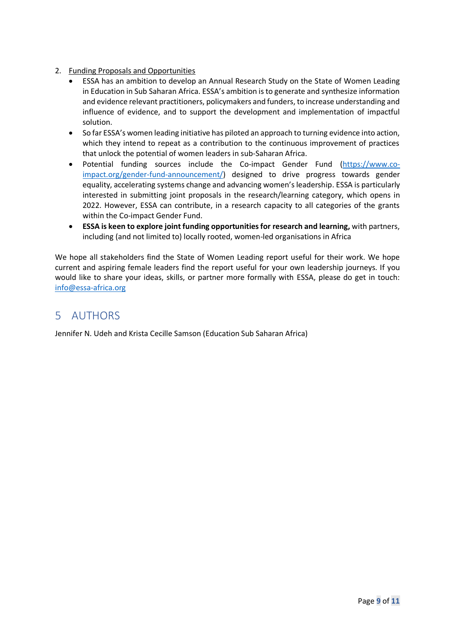#### 2. Funding Proposals and Opportunities

- ESSA has an ambition to develop an Annual Research Study on the State of Women Leading in Education in Sub Saharan Africa ESSA's ambition is to generate and synthesize information and evidence relevant practitioners, policymakers and funders, to increase understanding and influence of evidence, and to support the development and implementation of impactful solution.
- So far ESSA's women leading initiative has piloted an approach to turning evidence into action, which they intend to repeat as a contribution to the continuous improvement of practices that unlock the potential of women leaders in sub-Saharan Africa.
- Potential funding sources include the Co-impact Gender Fund [\(https://www.co](https://www.co-impact.org/gender-fund-announcement/)[impact.org/gender-fund-announcement/\)](https://www.co-impact.org/gender-fund-announcement/) designed to drive progress towards gender equality, accelerating systems change and advancing women's leadership. ESSA is particularly interested in submitting joint proposals in the research/learning category, which opens in 2022. However, ESSA can contribute, in a research capacity to all categories of the grants within the Co-impact Gender Fund.
- **ESSA is keen to explore joint funding opportunities for research and learning,** with partners, including (and not limited to) locally rooted, women-led organisations in Africa

We hope all stakeholders find the State of Women Leading report useful for their work. We hope current and aspiring female leaders find the report useful for your own leadership journeys. If you would like to share your ideas, skills, or partner more formally with ESSA, please do get in touch: [info@essa-africa.org](mailto:info@essa-africa.org)

# <span id="page-8-0"></span>5 AUTHORS

Jennifer N. Udeh and Krista Cecille Samson (Education Sub Saharan Africa)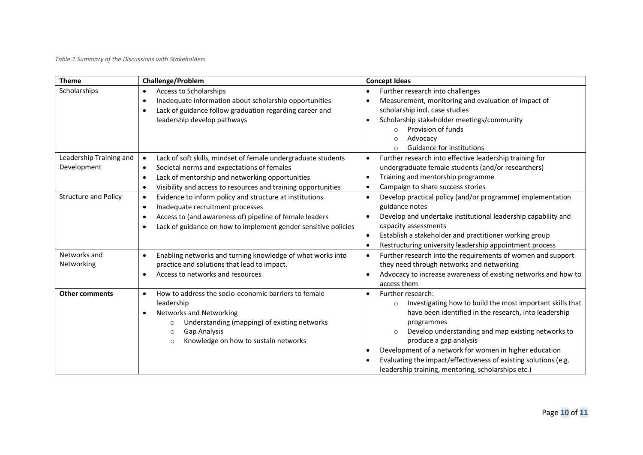#### *Table 1 Summary of the Discussions with Stakeholders*

| <b>Theme</b>                           | Challenge/Problem                                                                                                                                                                                                                                                                   | <b>Concept Ideas</b>                                                                                                                                                                                                                                                                                                                                                                                                                           |
|----------------------------------------|-------------------------------------------------------------------------------------------------------------------------------------------------------------------------------------------------------------------------------------------------------------------------------------|------------------------------------------------------------------------------------------------------------------------------------------------------------------------------------------------------------------------------------------------------------------------------------------------------------------------------------------------------------------------------------------------------------------------------------------------|
| Scholarships                           | Access to Scholarships<br>$\bullet$<br>Inadequate information about scholarship opportunities<br>$\bullet$<br>Lack of guidance follow graduation regarding career and<br>$\bullet$<br>leadership develop pathways                                                                   | Further research into challenges<br>Measurement, monitoring and evaluation of impact of<br>scholarship incl. case studies<br>Scholarship stakeholder meetings/community<br>Provision of funds<br>$\Omega$<br>Advocacy<br>$\circ$<br>Guidance for institutions<br>$\circ$                                                                                                                                                                       |
| Leadership Training and<br>Development | Lack of soft skills, mindset of female undergraduate students<br>$\bullet$<br>Societal norms and expectations of females<br>$\bullet$<br>Lack of mentorship and networking opportunities<br>$\bullet$<br>Visibility and access to resources and training opportunities<br>$\bullet$ | Further research into effective leadership training for<br>undergraduate female students (and/or researchers)<br>Training and mentorship programme<br>$\bullet$<br>Campaign to share success stories                                                                                                                                                                                                                                           |
| <b>Structure and Policy</b>            | Evidence to inform policy and structure at institutions<br>$\bullet$<br>Inadequate recruitment processes<br>$\bullet$<br>Access to (and awareness of) pipeline of female leaders<br>$\bullet$<br>Lack of guidance on how to implement gender sensitive policies                     | Develop practical policy (and/or programme) implementation<br>$\bullet$<br>guidance notes<br>Develop and undertake institutional leadership capability and<br>$\bullet$<br>capacity assessments<br>Establish a stakeholder and practitioner working group<br>$\bullet$<br>Restructuring university leadership appointment process                                                                                                              |
| Networks and<br>Networking             | Enabling networks and turning knowledge of what works into<br>practice and solutions that lead to impact.<br>Access to networks and resources                                                                                                                                       | Further research into the requirements of women and support<br>$\bullet$<br>they need through networks and networking<br>Advocacy to increase awareness of existing networks and how to<br>access them                                                                                                                                                                                                                                         |
| <b>Other comments</b>                  | How to address the socio-economic barriers to female<br>$\bullet$<br>leadership<br><b>Networks and Networking</b><br>Understanding (mapping) of existing networks<br>$\circ$<br>Gap Analysis<br>$\circ$<br>Knowledge on how to sustain networks<br>$\circ$                          | Further research:<br>Investigating how to build the most important skills that<br>$\circ$<br>have been identified in the research, into leadership<br>programmes<br>Develop understanding and map existing networks to<br>$\circ$<br>produce a gap analysis<br>Development of a network for women in higher education<br>Evaluating the impact/effectiveness of existing solutions (e.g.<br>leadership training, mentoring, scholarships etc.) |